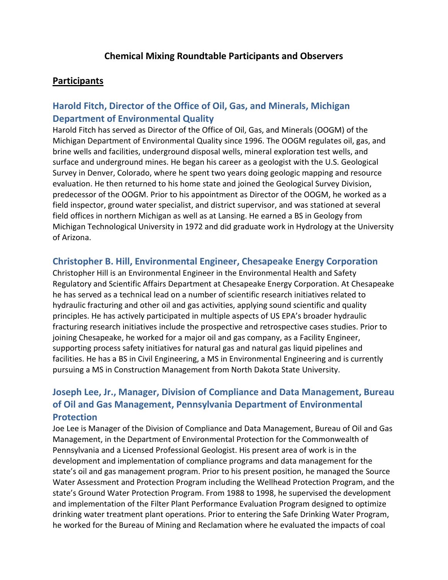### **Participants**

# **Harold Fitch, Director of the Office of Oil, Gas, and Minerals, Michigan Department of Environmental Quality**

Harold Fitch has served as Director of the Office of Oil, Gas, and Minerals (OOGM) of the Michigan Department of Environmental Quality since 1996. The OOGM regulates oil, gas, and brine wells and facilities, underground disposal wells, mineral exploration test wells, and surface and underground mines. He began his career as a geologist with the U.S. Geological Survey in Denver, Colorado, where he spent two years doing geologic mapping and resource evaluation. He then returned to his home state and joined the Geological Survey Division, predecessor of the OOGM. Prior to his appointment as Director of the OOGM, he worked as a field inspector, ground water specialist, and district supervisor, and was stationed at several field offices in northern Michigan as well as at Lansing. He earned a BS in Geology from Michigan Technological University in 1972 and did graduate work in Hydrology at the University of Arizona.

### **Christopher B. Hill, Environmental Engineer, Chesapeake Energy Corporation**

Christopher Hill is an Environmental Engineer in the Environmental Health and Safety Regulatory and Scientific Affairs Department at Chesapeake Energy Corporation. At Chesapeake he has served as a technical lead on a number of scientific research initiatives related to hydraulic fracturing and other oil and gas activities, applying sound scientific and quality principles. He has actively participated in multiple aspects of US EPA's broader hydraulic fracturing research initiatives include the prospective and retrospective cases studies. Prior to joining Chesapeake, he worked for a major oil and gas company, as a Facility Engineer, supporting process safety initiatives for natural gas and natural gas liquid pipelines and facilities. He has a BS in Civil Engineering, a MS in Environmental Engineering and is currently pursuing a MS in Construction Management from North Dakota State University.

# **Joseph Lee, Jr., Manager, Division of Compliance and Data Management, Bureau of Oil and Gas Management, Pennsylvania Department of Environmental Protection**

Joe Lee is Manager of the Division of Compliance and Data Management, Bureau of Oil and Gas Management, in the Department of Environmental Protection for the Commonwealth of Pennsylvania and a Licensed Professional Geologist. His present area of work is in the development and implementation of compliance programs and data management for the state's oil and gas management program. Prior to his present position, he managed the Source Water Assessment and Protection Program including the Wellhead Protection Program, and the state's Ground Water Protection Program. From 1988 to 1998, he supervised the development and implementation of the Filter Plant Performance Evaluation Program designed to optimize drinking water treatment plant operations. Prior to entering the Safe Drinking Water Program, he worked for the Bureau of Mining and Reclamation where he evaluated the impacts of coal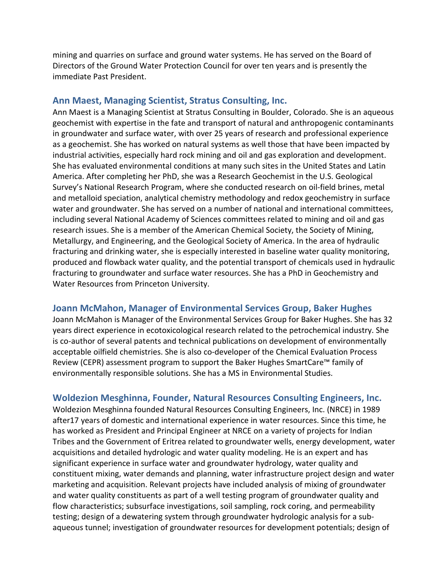mining and quarries on surface and ground water systems. He has served on the Board of Directors of the Ground Water Protection Council for over ten years and is presently the immediate Past President.

#### **Ann Maest, Managing Scientist, Stratus Consulting, Inc.**

Ann Maest is a Managing Scientist at Stratus Consulting in Boulder, Colorado. She is an aqueous geochemist with expertise in the fate and transport of natural and anthropogenic contaminants in groundwater and surface water, with over 25 years of research and professional experience as a geochemist. She has worked on natural systems as well those that have been impacted by industrial activities, especially hard rock mining and oil and gas exploration and development. She has evaluated environmental conditions at many such sites in the United States and Latin America. After completing her PhD, she was a Research Geochemist in the U.S. Geological Survey's National Research Program, where she conducted research on oil-field brines, metal and metalloid speciation, analytical chemistry methodology and redox geochemistry in surface water and groundwater. She has served on a number of national and international committees, including several National Academy of Sciences committees related to mining and oil and gas research issues. She is a member of the American Chemical Society, the Society of Mining, Metallurgy, and Engineering, and the Geological Society of America. In the area of hydraulic fracturing and drinking water, she is especially interested in baseline water quality monitoring, produced and flowback water quality, and the potential transport of chemicals used in hydraulic fracturing to groundwater and surface water resources. She has a PhD in Geochemistry and Water Resources from Princeton University.

#### **Joann McMahon, Manager of Environmental Services Group, Baker Hughes**

Joann McMahon is Manager of the Environmental Services Group for Baker Hughes. She has 32 years direct experience in ecotoxicological research related to the petrochemical industry. She is co-author of several patents and technical publications on development of environmentally acceptable oilfield chemistries. She is also co-developer of the Chemical Evaluation Process Review (CEPR) assessment program to support the Baker Hughes SmartCare™ family of environmentally responsible solutions. She has a MS in Environmental Studies.

#### **Woldezion Mesghinna, Founder, Natural Resources Consulting Engineers, Inc.**

Woldezion Mesghinna founded Natural Resources Consulting Engineers, Inc. (NRCE) in 1989 after17 years of domestic and international experience in water resources. Since this time, he has worked as President and Principal Engineer at NRCE on a variety of projects for Indian Tribes and the Government of Eritrea related to groundwater wells, energy development, water acquisitions and detailed hydrologic and water quality modeling. He is an expert and has significant experience in surface water and groundwater hydrology, water quality and constituent mixing, water demands and planning, water infrastructure project design and water marketing and acquisition. Relevant projects have included analysis of mixing of groundwater and water quality constituents as part of a well testing program of groundwater quality and flow characteristics; subsurface investigations, soil sampling, rock coring, and permeability testing; design of a dewatering system through groundwater hydrologic analysis for a subaqueous tunnel; investigation of groundwater resources for development potentials; design of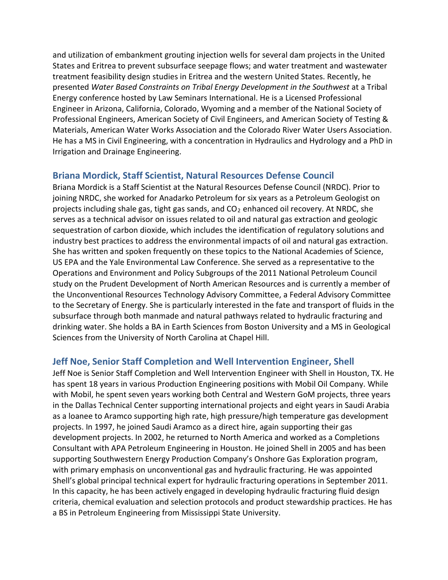and utilization of embankment grouting injection wells for several dam projects in the United States and Eritrea to prevent subsurface seepage flows; and water treatment and wastewater treatment feasibility design studies in Eritrea and the western United States. Recently, he presented *Water Based Constraints on Tribal Energy Development in the Southwest* at a Tribal Energy conference hosted by Law Seminars International. He is a Licensed Professional Engineer in Arizona, California, Colorado, Wyoming and a member of the National Society of Professional Engineers, American Society of Civil Engineers, and American Society of Testing & Materials, American Water Works Association and the Colorado River Water Users Association. He has a MS in Civil Engineering, with a concentration in Hydraulics and Hydrology and a PhD in Irrigation and Drainage Engineering.

### **Briana Mordick, Staff Scientist, Natural Resources Defense Council**

Briana Mordick is a Staff Scientist at the Natural Resources Defense Council (NRDC). Prior to joining NRDC, she worked for Anadarko Petroleum for six years as a Petroleum Geologist on projects including shale gas, tight gas sands, and  $CO<sub>2</sub>$  enhanced oil recovery. At NRDC, she serves as a technical advisor on issues related to oil and natural gas extraction and geologic sequestration of carbon dioxide, which includes the identification of regulatory solutions and industry best practices to address the environmental impacts of oil and natural gas extraction. She has written and spoken frequently on these topics to the National Academies of Science, US EPA and the Yale Environmental Law Conference. She served as a representative to the Operations and Environment and Policy Subgroups of the 2011 National Petroleum Council study on the Prudent Development of North American Resources and is currently a member of the Unconventional Resources Technology Advisory Committee, a Federal Advisory Committee to the Secretary of Energy. She is particularly interested in the fate and transport of fluids in the subsurface through both manmade and natural pathways related to hydraulic fracturing and drinking water. She holds a BA in Earth Sciences from Boston University and a MS in Geological Sciences from the University of North Carolina at Chapel Hill.

### **Jeff Noe, Senior Staff Completion and Well Intervention Engineer, Shell**

Jeff Noe is Senior Staff Completion and Well Intervention Engineer with Shell in Houston, TX. He has spent 18 years in various Production Engineering positions with Mobil Oil Company. While with Mobil, he spent seven years working both Central and Western GoM projects, three years in the Dallas Technical Center supporting international projects and eight years in Saudi Arabia as a loanee to Aramco supporting high rate, high pressure/high temperature gas development projects. In 1997, he joined Saudi Aramco as a direct hire, again supporting their gas development projects. In 2002, he returned to North America and worked as a Completions Consultant with APA Petroleum Engineering in Houston. He joined Shell in 2005 and has been supporting Southwestern Energy Production Company's Onshore Gas Exploration program, with primary emphasis on unconventional gas and hydraulic fracturing. He was appointed Shell's global principal technical expert for hydraulic fracturing operations in September 2011. In this capacity, he has been actively engaged in developing hydraulic fracturing fluid design criteria, chemical evaluation and selection protocols and product stewardship practices. He has a BS in Petroleum Engineering from Mississippi State University.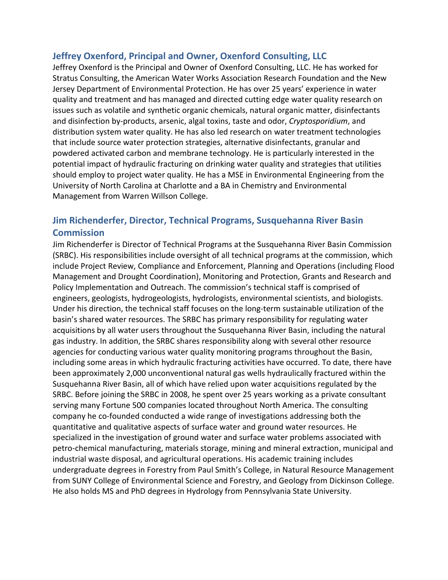## **Jeffrey Oxenford, Principal and Owner, Oxenford Consulting, LLC**

Jeffrey Oxenford is the Principal and Owner of Oxenford Consulting, LLC. He has worked for Stratus Consulting, the American Water Works Association Research Foundation and the New Jersey Department of Environmental Protection. He has over 25 years' experience in water quality and treatment and has managed and directed cutting edge water quality research on issues such as volatile and synthetic organic chemicals, natural organic matter, disinfectants and disinfection by-products, arsenic, algal toxins, taste and odor, *Cryptosporidium*, and distribution system water quality. He has also led research on water treatment technologies that include source water protection strategies, alternative disinfectants, granular and powdered activated carbon and membrane technology. He is particularly interested in the potential impact of hydraulic fracturing on drinking water quality and strategies that utilities should employ to project water quality. He has a MSE in Environmental Engineering from the University of North Carolina at Charlotte and a BA in Chemistry and Environmental Management from Warren Willson College.

# **Jim Richenderfer, Director, Technical Programs, Susquehanna River Basin Commission**

Jim Richenderfer is Director of Technical Programs at the Susquehanna River Basin Commission (SRBC). His responsibilities include oversight of all technical programs at the commission, which include Project Review, Compliance and Enforcement, Planning and Operations (including Flood Management and Drought Coordination), Monitoring and Protection, Grants and Research and Policy Implementation and Outreach. The commission's technical staff is comprised of engineers, geologists, hydrogeologists, hydrologists, environmental scientists, and biologists. Under his direction, the technical staff focuses on the long-term sustainable utilization of the basin's shared water resources. The SRBC has primary responsibility for regulating water acquisitions by all water users throughout the Susquehanna River Basin, including the natural gas industry. In addition, the SRBC shares responsibility along with several other resource agencies for conducting various water quality monitoring programs throughout the Basin, including some areas in which hydraulic fracturing activities have occurred. To date, there have been approximately 2,000 unconventional natural gas wells hydraulically fractured within the Susquehanna River Basin, all of which have relied upon water acquisitions regulated by the SRBC. Before joining the SRBC in 2008, he spent over 25 years working as a private consultant serving many Fortune 500 companies located throughout North America. The consulting company he co-founded conducted a wide range of investigations addressing both the quantitative and qualitative aspects of surface water and ground water resources. He specialized in the investigation of ground water and surface water problems associated with petro-chemical manufacturing, materials storage, mining and mineral extraction, municipal and industrial waste disposal, and agricultural operations. His academic training includes undergraduate degrees in Forestry from Paul Smith's College, in Natural Resource Management from SUNY College of Environmental Science and Forestry, and Geology from Dickinson College. He also holds MS and PhD degrees in Hydrology from Pennsylvania State University.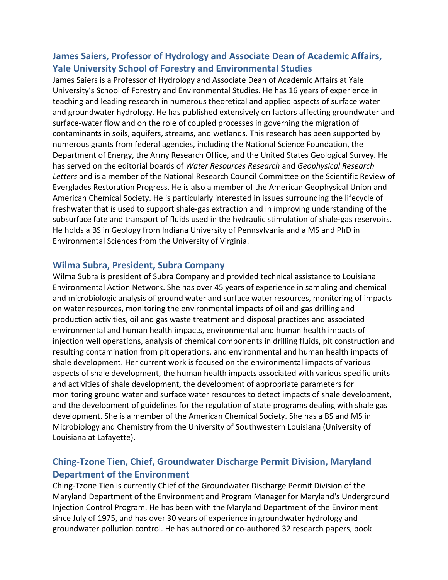# **James Saiers, Professor of Hydrology and Associate Dean of Academic Affairs, Yale University School of Forestry and Environmental Studies**

James Saiers is a Professor of Hydrology and Associate Dean of Academic Affairs at Yale University's School of Forestry and Environmental Studies. He has 16 years of experience in teaching and leading research in numerous theoretical and applied aspects of surface water and groundwater hydrology. He has published extensively on factors affecting groundwater and surface-water flow and on the role of coupled processes in governing the migration of contaminants in soils, aquifers, streams, and wetlands. This research has been supported by numerous grants from federal agencies, including the National Science Foundation, the Department of Energy, the Army Research Office, and the United States Geological Survey. He has served on the editorial boards of *Water Resources Research* and *Geophysical Research Letters* and is a member of the National Research Council Committee on the Scientific Review of Everglades Restoration Progress. He is also a member of the American Geophysical Union and American Chemical Society. He is particularly interested in issues surrounding the lifecycle of freshwater that is used to support shale-gas extraction and in improving understanding of the subsurface fate and transport of fluids used in the hydraulic stimulation of shale-gas reservoirs. He holds a BS in Geology from Indiana University of Pennsylvania and a MS and PhD in Environmental Sciences from the University of Virginia.

### **Wilma Subra, President, Subra Company**

Wilma Subra is president of Subra Company and provided technical assistance to Louisiana Environmental Action Network. She has over 45 years of experience in sampling and chemical and microbiologic analysis of ground water and surface water resources, monitoring of impacts on water resources, monitoring the environmental impacts of oil and gas drilling and production activities, oil and gas waste treatment and disposal practices and associated environmental and human health impacts, environmental and human health impacts of injection well operations, analysis of chemical components in drilling fluids, pit construction and resulting contamination from pit operations, and environmental and human health impacts of shale development. Her current work is focused on the environmental impacts of various aspects of shale development, the human health impacts associated with various specific units and activities of shale development, the development of appropriate parameters for monitoring ground water and surface water resources to detect impacts of shale development, and the development of guidelines for the regulation of state programs dealing with shale gas development. She is a member of the American Chemical Society. She has a BS and MS in Microbiology and Chemistry from the University of Southwestern Louisiana (University of Louisiana at Lafayette).

# **Ching-Tzone Tien, Chief, Groundwater Discharge Permit Division, Maryland Department of the Environment**

Ching-Tzone Tien is currently Chief of the Groundwater Discharge Permit Division of the Maryland Department of the Environment and Program Manager for Maryland's Underground Injection Control Program. He has been with the Maryland Department of the Environment since July of 1975, and has over 30 years of experience in groundwater hydrology and groundwater pollution control. He has authored or co-authored 32 research papers, book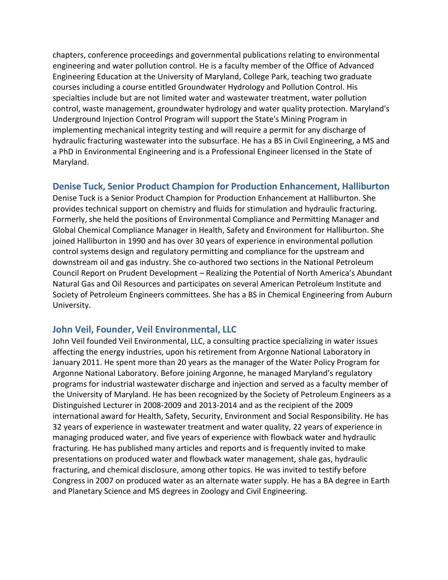chapters, conference proceedings and governmental publications relating to environmental engineering and water pollution control. He is a faculty member of the Office of Advanced Engineering Education at the University of Maryland, College Park, teaching two graduate courses including a course entitled Groundwater Hydrology and Pollution Control. His specialties include but are not limited water and wastewater treatment, water pollution control, waste management, groundwater hydrology and water quality protection. Maryland's Underground Injection Control Program will support the State's Mining Program in implementing mechanical integrity testing and will require a permit for any discharge of hydraulic fracturing wastewater into the subsurface. He has a BS in Civil Engineering, a MS and a PhD in Environmental Engineering and is a Professional Engineer licensed in the State of Maryland.

### **Denise Tuck, Senior Product Champion for Production Enhancement, Halliburton**

Denise Tuck is a Senior Product Champion for Production Enhancement at Halliburton. She provides technical support on chemistry and fluids for stimulation and hydraulic fracturing. Formerly, she held the positions of Environmental Compliance and Permitting Manager and Global Chemical Compliance Manager in Health, Safety and Environment for Halliburton. She joined Halliburton in 1990 and has over 30 years of experience in environmental pollution control systems design and regulatory permitting and compliance for the upstream and downstream oil and gas industry. She co-authored two sections in the National Petroleum Council Report on Prudent Development – Realizing the Potential of North America's Abundant Natural Gas and Oil Resources and participates on several American Petroleum Institute and Society of Petroleum Engineers committees. She has a BS in Chemical Engineering from Auburn University.

### **John Veil, Founder, Veil Environmental, LLC**

John Veil founded Veil Environmental, LLC, a consulting practice specializing in water issues affecting the energy industries, upon his retirement from Argonne National Laboratory in January 2011. He spent more than 20 years as the manager of the Water Policy Program for Argonne National Laboratory. Before joining Argonne, he managed Maryland's regulatory programs for industrial wastewater discharge and injection and served as a faculty member of the University of Maryland. He has been recognized by the Society of Petroleum Engineers as a Distinguished Lecturer in 2008-2009 and 2013-2014 and as the recipient of the 2009 international award for Health, Safety, Security, Environment and Social Responsibility. He has 32 years of experience in wastewater treatment and water quality, 22 years of experience in managing produced water, and five years of experience with flowback water and hydraulic fracturing. He has published many articles and reports and is frequently invited to make presentations on produced water and flowback water management, shale gas, hydraulic fracturing, and chemical disclosure, among other topics. He was invited to testify before Congress in 2007 on produced water as an alternate water supply. He has a BA degree in Earth and Planetary Science and MS degrees in Zoology and Civil Engineering.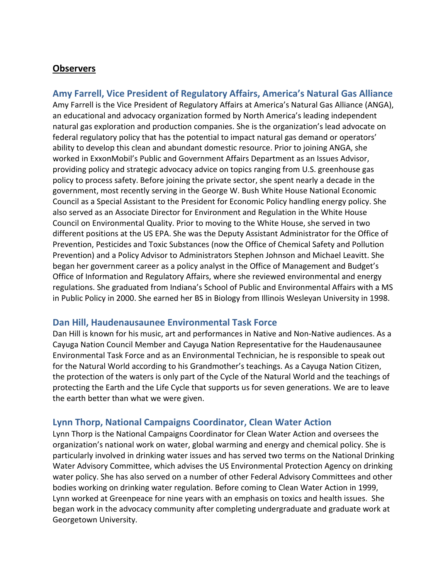### **Observers**

**Amy Farrell, Vice President of Regulatory Affairs, America's Natural Gas Alliance** Amy Farrell is the Vice President of Regulatory Affairs at America's Natural Gas Alliance (ANGA), an educational and advocacy organization formed by North America's leading independent natural gas exploration and production companies. She is the organization's lead advocate on federal regulatory policy that has the potential to impact natural gas demand or operators' ability to develop this clean and abundant domestic resource. Prior to joining ANGA, she worked in ExxonMobil's Public and Government Affairs Department as an Issues Advisor, providing policy and strategic advocacy advice on topics ranging from U.S. greenhouse gas policy to process safety. Before joining the private sector, she spent nearly a decade in the government, most recently serving in the George W. Bush White House National Economic Council as a Special Assistant to the President for Economic Policy handling energy policy. She also served as an Associate Director for Environment and Regulation in the White House Council on Environmental Quality. Prior to moving to the White House, she served in two different positions at the US EPA. She was the Deputy Assistant Administrator for the Office of Prevention, Pesticides and Toxic Substances (now the Office of Chemical Safety and Pollution Prevention) and a Policy Advisor to Administrators Stephen Johnson and Michael Leavitt. She began her government career as a policy analyst in the Office of Management and Budget's Office of Information and Regulatory Affairs, where she reviewed environmental and energy regulations. She graduated from Indiana's School of Public and Environmental Affairs with a MS in Public Policy in 2000. She earned her BS in Biology from Illinois Wesleyan University in 1998.

### **Dan Hill, Haudenausaunee Environmental Task Force**

Dan Hill is known for his music, art and performances in Native and Non-Native audiences. As a Cayuga Nation Council Member and Cayuga Nation Representative for the Haudenausaunee Environmental Task Force and as an Environmental Technician, he is responsible to speak out for the Natural World according to his Grandmother's teachings. As a Cayuga Nation Citizen, the protection of the waters is only part of the Cycle of the Natural World and the teachings of protecting the Earth and the Life Cycle that supports us for seven generations. We are to leave the earth better than what we were given.

### **Lynn Thorp, National Campaigns Coordinator, Clean Water Action**

Lynn Thorp is the National Campaigns Coordinator for Clean Water Action and oversees the organization's national work on water, global warming and energy and chemical policy. She is particularly involved in drinking water issues and has served two terms on the National Drinking Water Advisory Committee, which advises the US Environmental Protection Agency on drinking water policy. She has also served on a number of other Federal Advisory Committees and other bodies working on drinking water regulation. Before coming to Clean Water Action in 1999, Lynn worked at Greenpeace for nine years with an emphasis on toxics and health issues. She began work in the advocacy community after completing undergraduate and graduate work at Georgetown University.